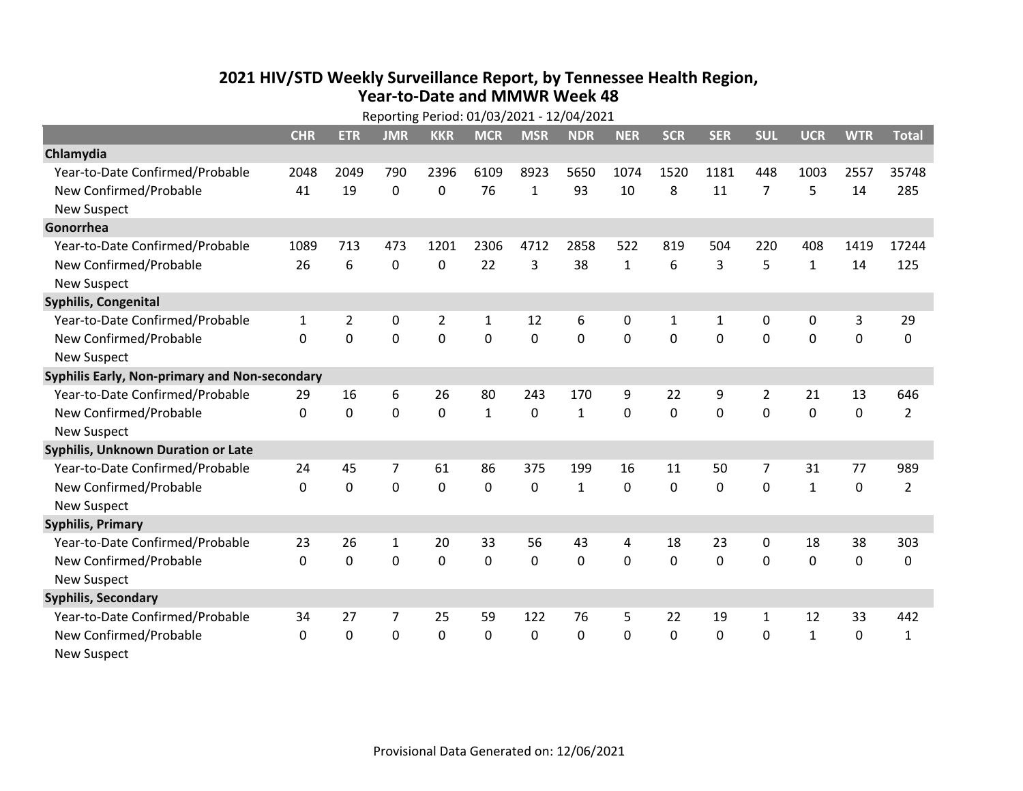## **2021 HIV /STD Weekly Surveillance Report, by Tennessee Health Region, Year‐to‐Date and MMWR Week 48** Reporting Period: 01/03/2021 ‐ 12/04/2021

| Reporting Period: 01/03/2021 - 12/04/2021     |              |                |             |                |              |             |              |              |              |            |              |              |             |                |
|-----------------------------------------------|--------------|----------------|-------------|----------------|--------------|-------------|--------------|--------------|--------------|------------|--------------|--------------|-------------|----------------|
|                                               | <b>CHR</b>   | <b>ETR</b>     | <b>JMR</b>  | <b>KKR</b>     | <b>MCR</b>   | <b>MSR</b>  | <b>NDR</b>   | <b>NER</b>   | <b>SCR</b>   | <b>SER</b> | <b>SUL</b>   | <b>UCR</b>   | <b>WTR</b>  | <b>Total</b>   |
| Chlamydia                                     |              |                |             |                |              |             |              |              |              |            |              |              |             |                |
| Year-to-Date Confirmed/Probable               | 2048         | 2049           | 790         | 2396           | 6109         | 8923        | 5650         | 1074         | 1520         | 1181       | 448          | 1003         | 2557        | 35748          |
| New Confirmed/Probable                        | 41           | 19             | 0           | 0              | 76           | 1           | 93           | 10           | 8            | 11         | 7            | 5            | 14          | 285            |
| <b>New Suspect</b>                            |              |                |             |                |              |             |              |              |              |            |              |              |             |                |
| Gonorrhea                                     |              |                |             |                |              |             |              |              |              |            |              |              |             |                |
| Year-to-Date Confirmed/Probable               | 1089         | 713            | 473         | 1201           | 2306         | 4712        | 2858         | 522          | 819          | 504        | 220          | 408          | 1419        | 17244          |
| New Confirmed/Probable                        | 26           | 6              | $\mathbf 0$ | 0              | 22           | 3           | 38           | $\mathbf{1}$ | 6            | 3          | 5            | $\mathbf{1}$ | 14          | 125            |
| <b>New Suspect</b>                            |              |                |             |                |              |             |              |              |              |            |              |              |             |                |
| <b>Syphilis, Congenital</b>                   |              |                |             |                |              |             |              |              |              |            |              |              |             |                |
| Year-to-Date Confirmed/Probable               | $\mathbf{1}$ | $\overline{2}$ | 0           | $\overline{2}$ | $\mathbf{1}$ | 12          | 6            | 0            | 1            | 1          | 0            | 0            | 3           | 29             |
| New Confirmed/Probable                        | $\mathbf{0}$ | 0              | 0           | 0              | $\mathbf 0$  | $\mathbf 0$ | 0            | $\mathbf 0$  | 0            | 0          | 0            | 0            | $\mathbf 0$ | 0              |
| <b>New Suspect</b>                            |              |                |             |                |              |             |              |              |              |            |              |              |             |                |
| Syphilis Early, Non-primary and Non-secondary |              |                |             |                |              |             |              |              |              |            |              |              |             |                |
| Year-to-Date Confirmed/Probable               | 29           | 16             | 6           | 26             | 80           | 243         | 170          | 9            | 22           | 9          | 2            | 21           | 13          | 646            |
| New Confirmed/Probable                        | $\Omega$     | $\mathbf 0$    | $\Omega$    | 0              | $\mathbf{1}$ | $\mathbf 0$ | $\mathbf{1}$ | $\Omega$     | $\Omega$     | $\Omega$   | $\Omega$     | $\Omega$     | $\mathbf 0$ | $\overline{2}$ |
| <b>New Suspect</b>                            |              |                |             |                |              |             |              |              |              |            |              |              |             |                |
| Syphilis, Unknown Duration or Late            |              |                |             |                |              |             |              |              |              |            |              |              |             |                |
| Year-to-Date Confirmed/Probable               | 24           | 45             | 7           | 61             | 86           | 375         | 199          | 16           | 11           | 50         | 7            | 31           | 77          | 989            |
| New Confirmed/Probable                        | $\Omega$     | $\mathbf 0$    | $\mathbf 0$ | 0              | $\mathbf 0$  | $\mathbf 0$ | $\mathbf{1}$ | $\Omega$     | $\Omega$     | $\Omega$   | $\Omega$     | $\mathbf{1}$ | $\mathbf 0$ | $\overline{2}$ |
| <b>New Suspect</b>                            |              |                |             |                |              |             |              |              |              |            |              |              |             |                |
| <b>Syphilis, Primary</b>                      |              |                |             |                |              |             |              |              |              |            |              |              |             |                |
| Year-to-Date Confirmed/Probable               | 23           | 26             | 1           | 20             | 33           | 56          | 43           | 4            | 18           | 23         | 0            | 18           | 38          | 303            |
| New Confirmed/Probable                        | $\Omega$     | $\mathbf 0$    | 0           | 0              | $\mathbf 0$  | 0           | 0            | $\Omega$     | $\Omega$     | $\Omega$   | $\Omega$     | 0            | 0           | 0              |
| <b>New Suspect</b>                            |              |                |             |                |              |             |              |              |              |            |              |              |             |                |
| <b>Syphilis, Secondary</b>                    |              |                |             |                |              |             |              |              |              |            |              |              |             |                |
| Year-to-Date Confirmed/Probable               | 34           | 27             | 7           | 25             | 59           | 122         | 76           | 5            | 22           | 19         | 1            | 12           | 33          | 442            |
| New Confirmed/Probable                        | $\mathbf{0}$ | 0              | 0           | 0              | $\mathbf 0$  | 0           | 0            | $\Omega$     | $\mathbf{0}$ | 0          | $\mathbf{0}$ | $\mathbf{1}$ | $\mathbf 0$ | $\mathbf{1}$   |
| <b>New Suspect</b>                            |              |                |             |                |              |             |              |              |              |            |              |              |             |                |